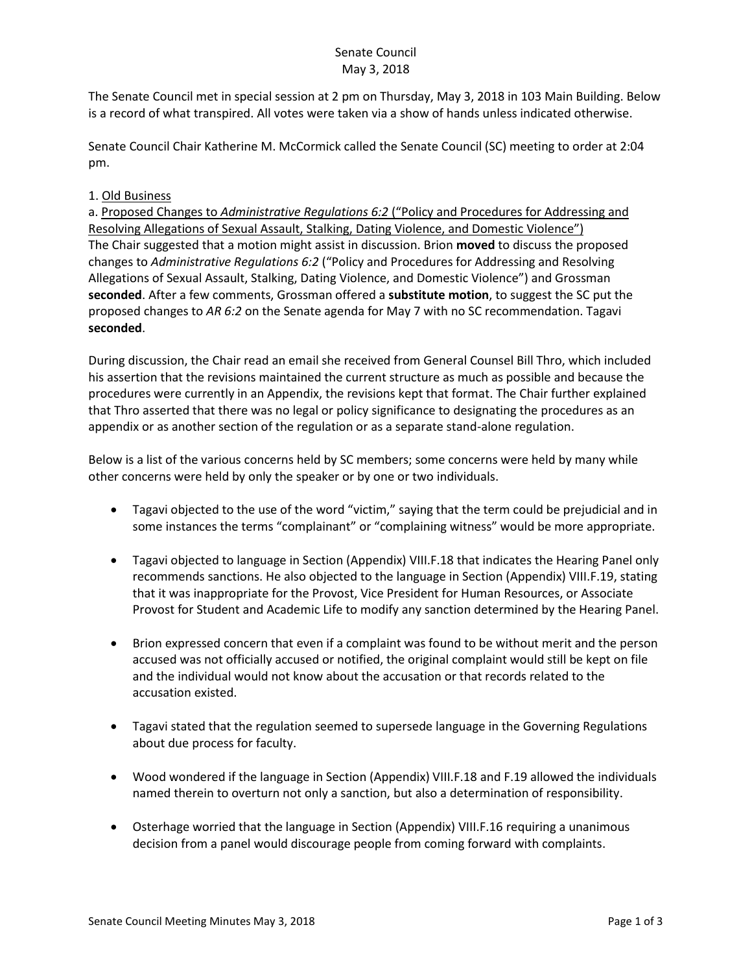## Senate Council May 3, 2018

The Senate Council met in special session at 2 pm on Thursday, May 3, 2018 in 103 Main Building. Below is a record of what transpired. All votes were taken via a show of hands unless indicated otherwise.

Senate Council Chair Katherine M. McCormick called the Senate Council (SC) meeting to order at 2:04 pm.

## 1. Old Business

a. Proposed Changes to *Administrative Regulations 6:2* ("Policy and Procedures for Addressing and Resolving Allegations of Sexual Assault, Stalking, Dating Violence, and Domestic Violence") The Chair suggested that a motion might assist in discussion. Brion **moved** to discuss the proposed changes to *Administrative Regulations 6:2* ("Policy and Procedures for Addressing and Resolving Allegations of Sexual Assault, Stalking, Dating Violence, and Domestic Violence") and Grossman **seconded**. After a few comments, Grossman offered a **substitute motion**, to suggest the SC put the proposed changes to *AR 6:2* on the Senate agenda for May 7 with no SC recommendation. Tagavi **seconded**.

During discussion, the Chair read an email she received from General Counsel Bill Thro, which included his assertion that the revisions maintained the current structure as much as possible and because the procedures were currently in an Appendix, the revisions kept that format. The Chair further explained that Thro asserted that there was no legal or policy significance to designating the procedures as an appendix or as another section of the regulation or as a separate stand-alone regulation.

Below is a list of the various concerns held by SC members; some concerns were held by many while other concerns were held by only the speaker or by one or two individuals.

- Tagavi objected to the use of the word "victim," saying that the term could be prejudicial and in some instances the terms "complainant" or "complaining witness" would be more appropriate.
- Tagavi objected to language in Section (Appendix) VIII.F.18 that indicates the Hearing Panel only recommends sanctions. He also objected to the language in Section (Appendix) VIII.F.19, stating that it was inappropriate for the Provost, Vice President for Human Resources, or Associate Provost for Student and Academic Life to modify any sanction determined by the Hearing Panel.
- Brion expressed concern that even if a complaint was found to be without merit and the person accused was not officially accused or notified, the original complaint would still be kept on file and the individual would not know about the accusation or that records related to the accusation existed.
- Tagavi stated that the regulation seemed to supersede language in the Governing Regulations about due process for faculty.
- Wood wondered if the language in Section (Appendix) VIII.F.18 and F.19 allowed the individuals named therein to overturn not only a sanction, but also a determination of responsibility.
- Osterhage worried that the language in Section (Appendix) VIII.F.16 requiring a unanimous decision from a panel would discourage people from coming forward with complaints.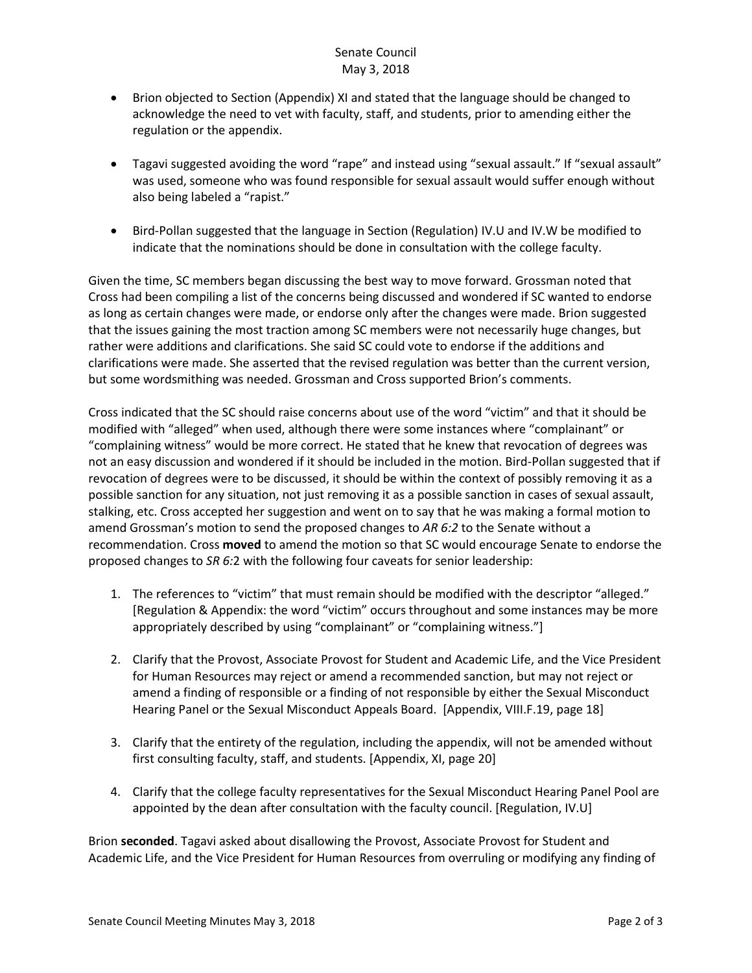## Senate Council May 3, 2018

- Brion objected to Section (Appendix) XI and stated that the language should be changed to acknowledge the need to vet with faculty, staff, and students, prior to amending either the regulation or the appendix.
- Tagavi suggested avoiding the word "rape" and instead using "sexual assault." If "sexual assault" was used, someone who was found responsible for sexual assault would suffer enough without also being labeled a "rapist."
- Bird-Pollan suggested that the language in Section (Regulation) IV.U and IV.W be modified to indicate that the nominations should be done in consultation with the college faculty.

Given the time, SC members began discussing the best way to move forward. Grossman noted that Cross had been compiling a list of the concerns being discussed and wondered if SC wanted to endorse as long as certain changes were made, or endorse only after the changes were made. Brion suggested that the issues gaining the most traction among SC members were not necessarily huge changes, but rather were additions and clarifications. She said SC could vote to endorse if the additions and clarifications were made. She asserted that the revised regulation was better than the current version, but some wordsmithing was needed. Grossman and Cross supported Brion's comments.

Cross indicated that the SC should raise concerns about use of the word "victim" and that it should be modified with "alleged" when used, although there were some instances where "complainant" or "complaining witness" would be more correct. He stated that he knew that revocation of degrees was not an easy discussion and wondered if it should be included in the motion. Bird-Pollan suggested that if revocation of degrees were to be discussed, it should be within the context of possibly removing it as a possible sanction for any situation, not just removing it as a possible sanction in cases of sexual assault, stalking, etc. Cross accepted her suggestion and went on to say that he was making a formal motion to amend Grossman's motion to send the proposed changes to *AR 6:2* to the Senate without a recommendation. Cross **moved** to amend the motion so that SC would encourage Senate to endorse the proposed changes to *SR 6:*2 with the following four caveats for senior leadership:

- 1. The references to "victim" that must remain should be modified with the descriptor "alleged." [Regulation & Appendix: the word "victim" occurs throughout and some instances may be more appropriately described by using "complainant" or "complaining witness."]
- 2. Clarify that the Provost, Associate Provost for Student and Academic Life, and the Vice President for Human Resources may reject or amend a recommended sanction, but may not reject or amend a finding of responsible or a finding of not responsible by either the Sexual Misconduct Hearing Panel or the Sexual Misconduct Appeals Board. [Appendix, VIII.F.19, page 18]
- 3. Clarify that the entirety of the regulation, including the appendix, will not be amended without first consulting faculty, staff, and students. [Appendix, XI, page 20]
- 4. Clarify that the college faculty representatives for the Sexual Misconduct Hearing Panel Pool are appointed by the dean after consultation with the faculty council. [Regulation, IV.U]

Brion **seconded**. Tagavi asked about disallowing the Provost, Associate Provost for Student and Academic Life, and the Vice President for Human Resources from overruling or modifying any finding of